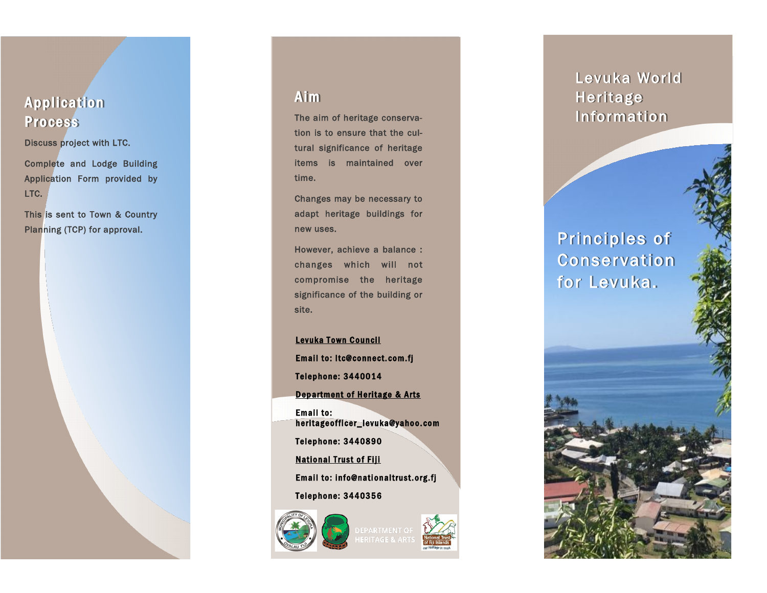### **Application** Process

Discuss project with LTC.

Complete and Lodge Building Application Form provided by LTC.

This is sent to Town & Country Planning (TCP) for approval.



#### **Aim**

The aim of heritage conservation is to ensure that the cultural significance of heritage items is maintained over time.

Changes may be necessary to adapt heritage buildings for new uses.

However, achieve a balance : changes which will not compromise the heritage significance of the building or site.

Levuka Town Council Email to: Itc@connect.com.fj Telephone: 3440014 Department of Heritage & Arts Email to: heritage officer\_levuka@yahoo.com Telephone: 3440890 **National Trust of Fiji** Email to: info@nationaltrust.org.fj Telephone: 3440356





### Levuka World Heritage Information

## Principles of Conservation for Levuka.